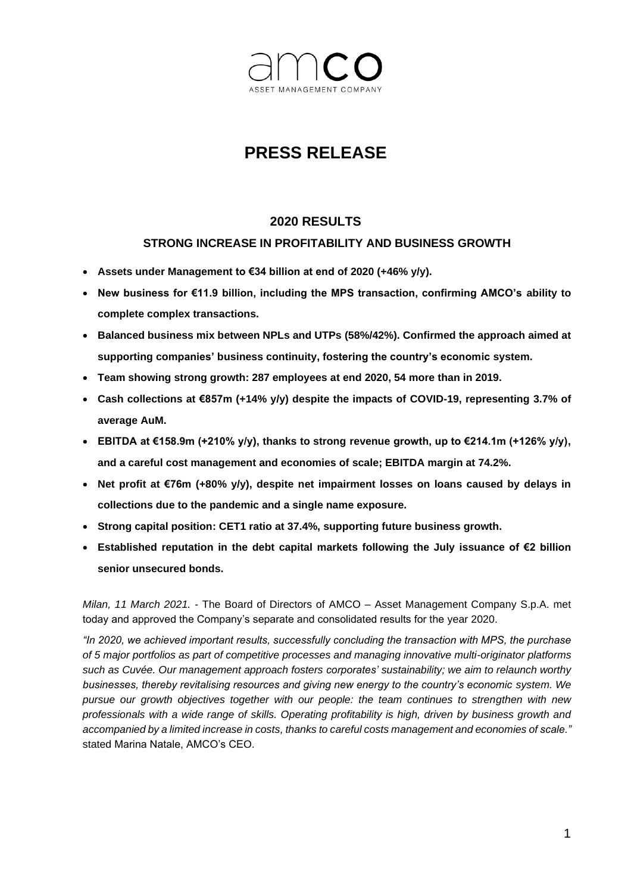

# **PRESS RELEASE**

### **2020 RESULTS**

### **STRONG INCREASE IN PROFITABILITY AND BUSINESS GROWTH**

- **Assets under Management to €34 billion at end of 2020 (+46% y/y).**
- **New business for €11.9 billion, including the MPS transaction, confirming AMCO's ability to complete complex transactions.**
- **Balanced business mix between NPLs and UTPs (58%/42%). Confirmed the approach aimed at supporting companies' business continuity, fostering the country's economic system.**
- **Team showing strong growth: 287 employees at end 2020, 54 more than in 2019.**
- **Cash collections at €857m (+14% y/y) despite the impacts of COVID-19, representing 3.7% of average AuM.**
- **EBITDA at €158.9m (+210% y/y), thanks to strong revenue growth, up to €214.1m (+126% y/y), and a careful cost management and economies of scale; EBITDA margin at 74.2%.**
- **Net profit at €76m (+80% y/y), despite net impairment losses on loans caused by delays in collections due to the pandemic and a single name exposure.**
- **Strong capital position: CET1 ratio at 37.4%, supporting future business growth.**
- **Established reputation in the debt capital markets following the July issuance of €2 billion senior unsecured bonds.**

*Milan, 11 March 2021. -* The Board of Directors of AMCO – Asset Management Company S.p.A. met today and approved the Company's separate and consolidated results for the year 2020.

*"In 2020, we achieved important results, successfully concluding the transaction with MPS, the purchase of 5 major portfolios as part of competitive processes and managing innovative multi-originator platforms such as Cuvée. Our management approach fosters corporates' sustainability; we aim to relaunch worthy businesses, thereby revitalising resources and giving new energy to the country's economic system. We pursue our growth objectives together with our people: the team continues to strengthen with new professionals with a wide range of skills. Operating profitability is high, driven by business growth and accompanied by a limited increase in costs, thanks to careful costs management and economies of scale."*  stated Marina Natale, AMCO's CEO.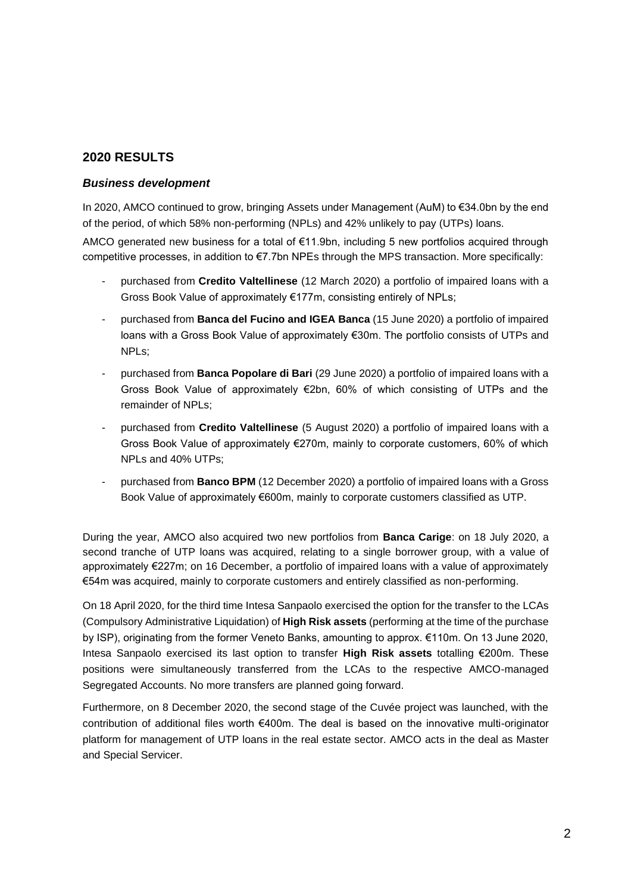### **2020 RESULTS**

#### *Business development*

In 2020, AMCO continued to grow, bringing Assets under Management (AuM) to €34.0bn by the end of the period, of which 58% non-performing (NPLs) and 42% unlikely to pay (UTPs) loans.

AMCO generated new business for a total of €11.9bn, including 5 new portfolios acquired through competitive processes, in addition to €7.7bn NPEs through the MPS transaction. More specifically:

- purchased from **Credito Valtellinese** (12 March 2020) a portfolio of impaired loans with a Gross Book Value of approximately €177m, consisting entirely of NPLs;
- purchased from **Banca del Fucino and IGEA Banca** (15 June 2020) a portfolio of impaired loans with a Gross Book Value of approximately €30m. The portfolio consists of UTPs and NPLs;
- purchased from **Banca Popolare di Bari** (29 June 2020) a portfolio of impaired loans with a Gross Book Value of approximately €2bn, 60% of which consisting of UTPs and the remainder of NPLs;
- purchased from **Credito Valtellinese** (5 August 2020) a portfolio of impaired loans with a Gross Book Value of approximately €270m, mainly to corporate customers, 60% of which NPLs and 40% UTPs;
- purchased from **Banco BPM** (12 December 2020) a portfolio of impaired loans with a Gross Book Value of approximately €600m, mainly to corporate customers classified as UTP.

During the year, AMCO also acquired two new portfolios from **Banca Carige**: on 18 July 2020, a second tranche of UTP loans was acquired, relating to a single borrower group, with a value of approximately €227m; on 16 December, a portfolio of impaired loans with a value of approximately €54m was acquired, mainly to corporate customers and entirely classified as non-performing.

On 18 April 2020, for the third time Intesa Sanpaolo exercised the option for the transfer to the LCAs (Compulsory Administrative Liquidation) of **High Risk assets** (performing at the time of the purchase by ISP), originating from the former Veneto Banks, amounting to approx. €110m. On 13 June 2020, Intesa Sanpaolo exercised its last option to transfer **High Risk assets** totalling €200m. These positions were simultaneously transferred from the LCAs to the respective AMCO-managed Segregated Accounts. No more transfers are planned going forward.

Furthermore, on 8 December 2020, the second stage of the Cuvée project was launched, with the contribution of additional files worth €400m. The deal is based on the innovative multi-originator platform for management of UTP loans in the real estate sector. AMCO acts in the deal as Master and Special Servicer.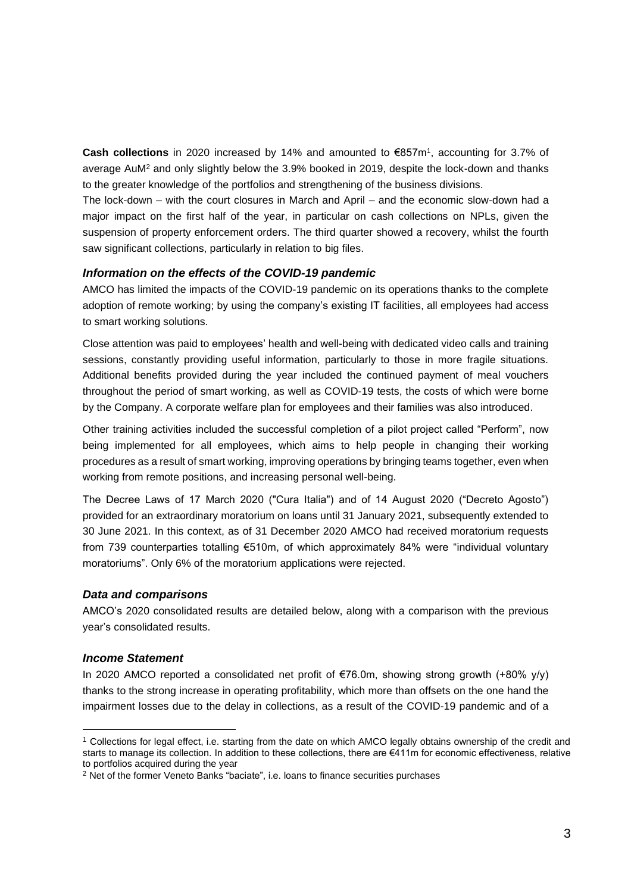**Cash collections** in 2020 increased by 14% and amounted to €857m<sup>1</sup> , accounting for 3.7% of average AuM<sup>2</sup> and only slightly below the 3.9% booked in 2019, despite the lock-down and thanks to the greater knowledge of the portfolios and strengthening of the business divisions.

The lock-down – with the court closures in March and April – and the economic slow-down had a major impact on the first half of the year, in particular on cash collections on NPLs, given the suspension of property enforcement orders. The third quarter showed a recovery, whilst the fourth saw significant collections, particularly in relation to big files.

#### *Information on the effects of the COVID-19 pandemic*

AMCO has limited the impacts of the COVID-19 pandemic on its operations thanks to the complete adoption of remote working; by using the company's existing IT facilities, all employees had access to smart working solutions.

Close attention was paid to employees' health and well-being with dedicated video calls and training sessions, constantly providing useful information, particularly to those in more fragile situations. Additional benefits provided during the year included the continued payment of meal vouchers throughout the period of smart working, as well as COVID-19 tests, the costs of which were borne by the Company. A corporate welfare plan for employees and their families was also introduced.

Other training activities included the successful completion of a pilot project called "Perform", now being implemented for all employees, which aims to help people in changing their working procedures as a result of smart working, improving operations by bringing teams together, even when working from remote positions, and increasing personal well-being.

The Decree Laws of 17 March 2020 ("Cura Italia") and of 14 August 2020 ("Decreto Agosto") provided for an extraordinary moratorium on loans until 31 January 2021, subsequently extended to 30 June 2021. In this context, as of 31 December 2020 AMCO had received moratorium requests from 739 counterparties totalling €510m, of which approximately 84% were "individual voluntary moratoriums". Only 6% of the moratorium applications were rejected.

#### *Data and comparisons*

AMCO's 2020 consolidated results are detailed below, along with a comparison with the previous year's consolidated results.

#### *Income Statement*

In 2020 AMCO reported a consolidated net profit of €76.0m, showing strong growth (+80% y/y) thanks to the strong increase in operating profitability, which more than offsets on the one hand the impairment losses due to the delay in collections, as a result of the COVID-19 pandemic and of a

<sup>1</sup> Collections for legal effect, i.e. starting from the date on which AMCO legally obtains ownership of the credit and starts to manage its collection. In addition to these collections, there are €411m for economic effectiveness, relative to portfolios acquired during the year

<sup>&</sup>lt;sup>2</sup> Net of the former Veneto Banks "baciate", i.e. loans to finance securities purchases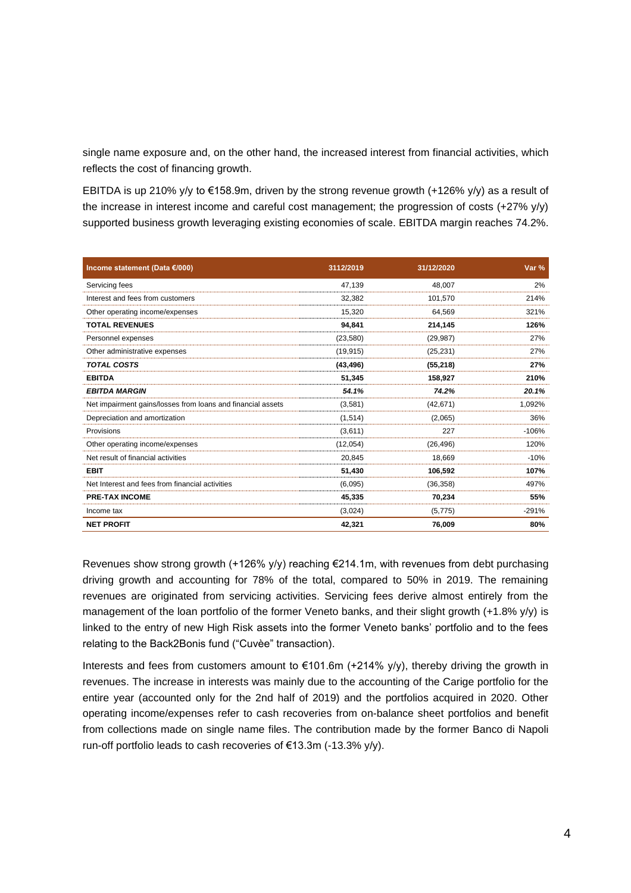single name exposure and, on the other hand, the increased interest from financial activities, which reflects the cost of financing growth.

EBITDA is up 210% y/y to €158.9m, driven by the strong revenue growth (+126% y/y) as a result of the increase in interest income and careful cost management; the progression of costs (+27% y/y) supported business growth leveraging existing economies of scale. EBITDA margin reaches 74.2%.

| Income statement (Data €/000)                               | 3112/2019 | 31/12/2020 | Var %   |
|-------------------------------------------------------------|-----------|------------|---------|
| Servicing fees                                              | 47,139    | 48,007     | 2%      |
| Interest and fees from customers                            | 32,382    | 101,570    | 214%    |
| Other operating income/expenses                             | 15,320    | 64.569     | 321%    |
| <b>TOTAL REVENUES</b>                                       | 94,841    | 214,145    | 126%    |
| Personnel expenses                                          | (23, 580) | (29, 987)  | 27%     |
| Other administrative expenses                               | (19, 915) | (25, 231)  | 27%     |
| <b>TOTAL COSTS</b>                                          | (43, 496) | (55, 218)  | 27%     |
| <b>EBITDA</b>                                               | 51,345    | 158.927    | 210%    |
| <b>EBITDA MARGIN</b>                                        | 54.1%     | 74.2%      | 20.1%   |
| Net impairment gains/losses from loans and financial assets | (3,581)   | (42, 671)  | 1,092%  |
| Depreciation and amortization                               | (1,514)   | (2,065)    | 36%     |
| Provisions                                                  | (3,611)   | 227        | $-106%$ |
| Other operating income/expenses                             | (12,054)  | (26, 496)  | 120%    |
| Net result of financial activities                          | 20.845    | 18.669     | $-10%$  |
| <b>EBIT</b>                                                 | 51,430    | 106,592    | 107%    |
| Net Interest and fees from financial activities             | (6,095)   | (36, 358)  | 497%    |
| <b>PRE-TAX INCOME</b>                                       | 45,335    | 70,234     | 55%     |
| Income tax                                                  | (3,024)   | (5, 775)   | $-291%$ |
| <b>NET PROFIT</b>                                           | 42,321    | 76,009     | 80%     |

Revenues show strong growth (+126% y/y) reaching €214.1m, with revenues from debt purchasing driving growth and accounting for 78% of the total, compared to 50% in 2019. The remaining revenues are originated from servicing activities. Servicing fees derive almost entirely from the management of the loan portfolio of the former Veneto banks, and their slight growth (+1.8% y/y) is linked to the entry of new High Risk assets into the former Veneto banks' portfolio and to the fees relating to the Back2Bonis fund ("Cuvèe" transaction).

Interests and fees from customers amount to €101.6m (+214% y/y), thereby driving the growth in revenues. The increase in interests was mainly due to the accounting of the Carige portfolio for the entire year (accounted only for the 2nd half of 2019) and the portfolios acquired in 2020. Other operating income/expenses refer to cash recoveries from on-balance sheet portfolios and benefit from collections made on single name files. The contribution made by the former Banco di Napoli run-off portfolio leads to cash recoveries of €13.3m (-13.3% y/y).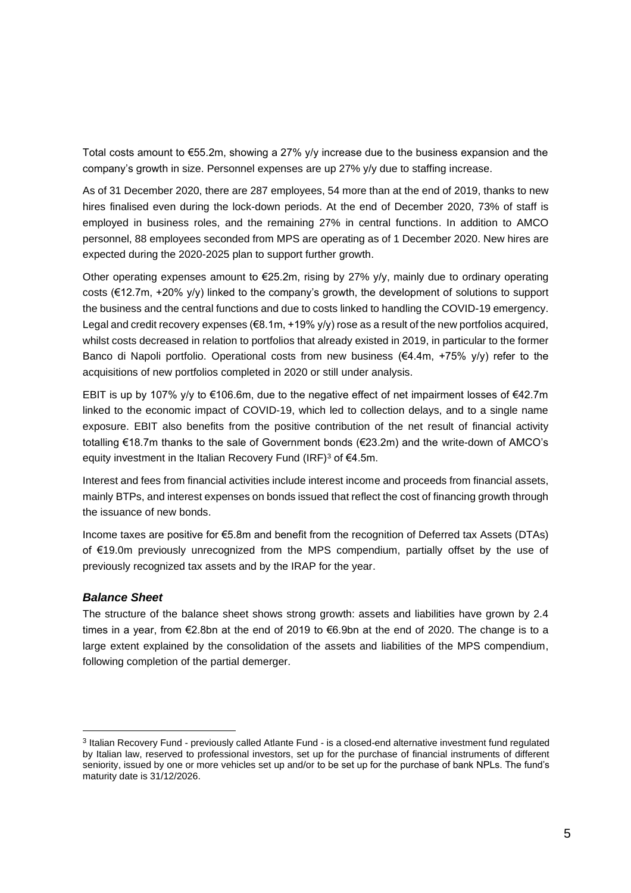Total costs amount to €55.2m, showing a 27% y/y increase due to the business expansion and the company's growth in size. Personnel expenses are up 27% y/y due to staffing increase.

As of 31 December 2020, there are 287 employees, 54 more than at the end of 2019, thanks to new hires finalised even during the lock-down periods. At the end of December 2020, 73% of staff is employed in business roles, and the remaining 27% in central functions. In addition to AMCO personnel, 88 employees seconded from MPS are operating as of 1 December 2020. New hires are expected during the 2020-2025 plan to support further growth.

Other operating expenses amount to  $\epsilon$ 25.2m, rising by 27% y/y, mainly due to ordinary operating costs (€12.7m, +20% y/y) linked to the company's growth, the development of solutions to support the business and the central functions and due to costs linked to handling the COVID-19 emergency. Legal and credit recovery expenses (€8.1m, +19% y/y) rose as a result of the new portfolios acquired, whilst costs decreased in relation to portfolios that already existed in 2019, in particular to the former Banco di Napoli portfolio. Operational costs from new business ( $\epsilon$ 4.4m, +75% y/y) refer to the acquisitions of new portfolios completed in 2020 or still under analysis.

EBIT is up by 107% y/y to €106.6m, due to the negative effect of net impairment losses of €42.7m linked to the economic impact of COVID-19, which led to collection delays, and to a single name exposure. EBIT also benefits from the positive contribution of the net result of financial activity totalling €18.7m thanks to the sale of Government bonds (€23.2m) and the write-down of AMCO's equity investment in the Italian Recovery Fund (IRF)<sup>3</sup> of €4.5m.

Interest and fees from financial activities include interest income and proceeds from financial assets, mainly BTPs, and interest expenses on bonds issued that reflect the cost of financing growth through the issuance of new bonds.

Income taxes are positive for €5.8m and benefit from the recognition of Deferred tax Assets (DTAs) of €19.0m previously unrecognized from the MPS compendium, partially offset by the use of previously recognized tax assets and by the IRAP for the year.

#### *Balance Sheet*

The structure of the balance sheet shows strong growth: assets and liabilities have grown by 2.4 times in a year, from €2.8bn at the end of 2019 to €6.9bn at the end of 2020. The change is to a large extent explained by the consolidation of the assets and liabilities of the MPS compendium, following completion of the partial demerger.

<sup>&</sup>lt;sup>3</sup> Italian Recovery Fund - previously called Atlante Fund - is a closed-end alternative investment fund regulated by Italian law, reserved to professional investors, set up for the purchase of financial instruments of different seniority, issued by one or more vehicles set up and/or to be set up for the purchase of bank NPLs. The fund's maturity date is 31/12/2026.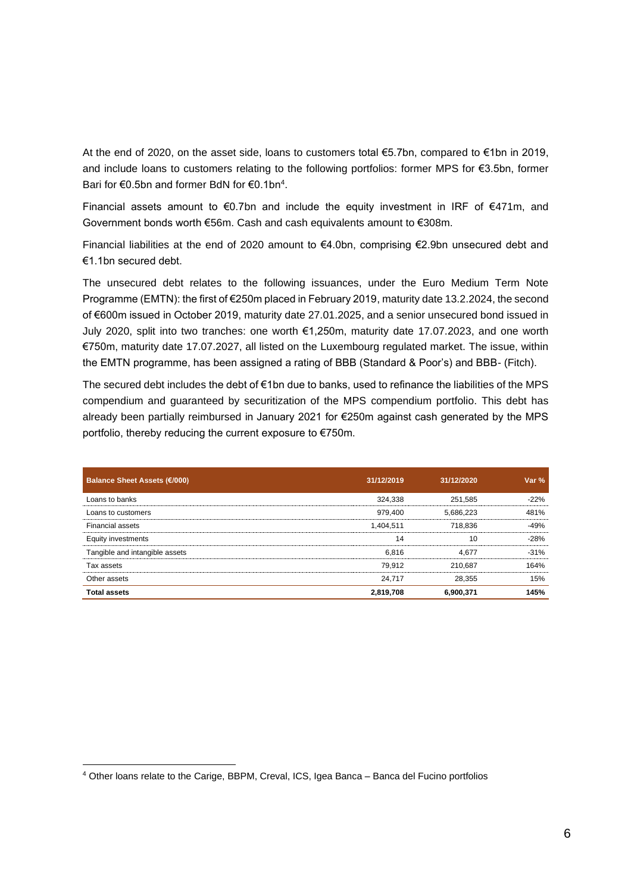At the end of 2020, on the asset side, loans to customers total €5.7bn, compared to €1bn in 2019, and include loans to customers relating to the following portfolios: former MPS for €3.5bn, former Bari for €0.5bn and former BdN for €0.1bn<sup>4</sup>.

Financial assets amount to €0.7bn and include the equity investment in IRF of €471m, and Government bonds worth €56m. Cash and cash equivalents amount to €308m.

Financial liabilities at the end of 2020 amount to  $€4.0$ bn, comprising  $€2.9$ bn unsecured debt and €1.1bn secured debt.

The unsecured debt relates to the following issuances, under the Euro Medium Term Note Programme (EMTN): the first of €250m placed in February 2019, maturity date 13.2.2024, the second of €600m issued in October 2019, maturity date 27.01.2025, and a senior unsecured bond issued in July 2020, split into two tranches: one worth €1,250m, maturity date 17.07.2023, and one worth €750m, maturity date 17.07.2027, all listed on the Luxembourg regulated market. The issue, within the EMTN programme, has been assigned a rating of BBB (Standard & Poor's) and BBB- (Fitch).

The secured debt includes the debt of €1bn due to banks, used to refinance the liabilities of the MPS compendium and guaranteed by securitization of the MPS compendium portfolio. This debt has already been partially reimbursed in January 2021 for €250m against cash generated by the MPS portfolio, thereby reducing the current exposure to €750m.

| <b>Balance Sheet Assets (€/000)</b> | 31/12/2019 | 31/12/2020 | Var $%$ |
|-------------------------------------|------------|------------|---------|
| Loans to banks                      | 324.338    | 251.585    | $-22%$  |
| Loans to customers                  | 979.400    | 5.686.223  | 481%    |
| <b>Financial assets</b>             | 1.404.511  | 718.836    | -49%    |
| Equity investments                  | 14         | 10         | $-28%$  |
| Tangible and intangible assets      | 6.816      | 4.677      | $-31%$  |
| Tax assets                          | 79.912     | 210.687    | 164%    |
| Other assets                        | 24.717     | 28.355     | 15%     |
| <b>Total assets</b>                 | 2,819,708  | 6,900,371  | 145%    |

<sup>4</sup> Other loans relate to the Carige, BBPM, Creval, ICS, Igea Banca – Banca del Fucino portfolios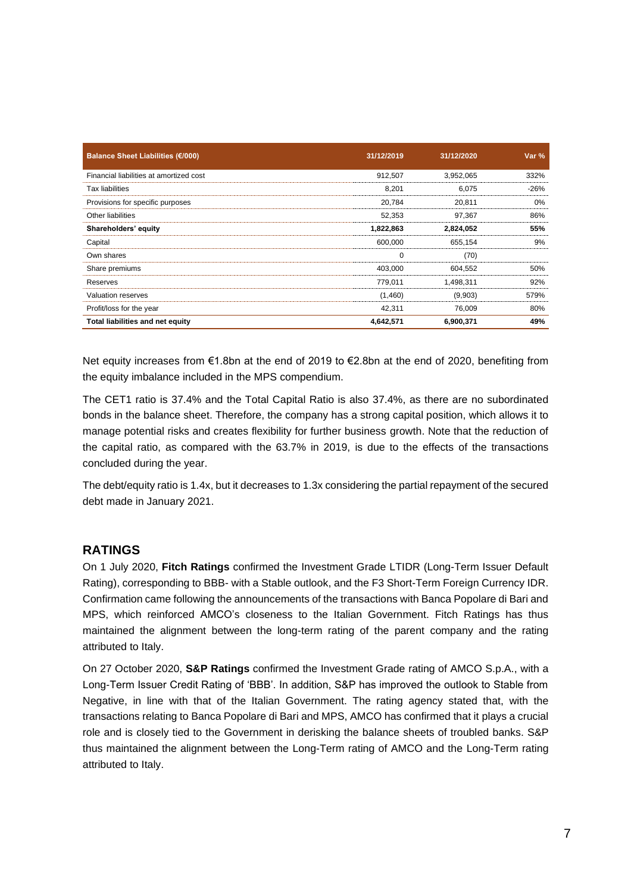| Balance Sheet Liabilities (€/000)       | 31/12/2019 | 31/12/2020 | Var %  |
|-----------------------------------------|------------|------------|--------|
| Financial liabilities at amortized cost | 912.507    | 3,952,065  | 332%   |
| <b>Tax liabilities</b>                  | 8,201      | 6.075      | $-26%$ |
| Provisions for specific purposes        | 20,784     | 20,811     | 0%     |
| Other liabilities                       | 52,353     | 97.367     | 86%    |
| Shareholders' equity                    | 1,822,863  | 2,824,052  | 55%    |
| Capital                                 | 600.000    | 655.154    | 9%     |
| Own shares                              |            | (70)       |        |
| Share premiums                          | 403.000    | 604,552    | 50%    |
| Reserves                                | 779.011    | 1.498.311  | 92%    |
| <b>Valuation reserves</b>               | (1,460)    | (9,903)    | 579%   |
| Profit/loss for the year                | 42.311     | 76.009     | 80%    |
| Total liabilities and net equity        | 4,642,571  | 6,900,371  | 49%    |

Net equity increases from €1.8bn at the end of 2019 to €2.8bn at the end of 2020, benefiting from the equity imbalance included in the MPS compendium.

The CET1 ratio is 37.4% and the Total Capital Ratio is also 37.4%, as there are no subordinated bonds in the balance sheet. Therefore, the company has a strong capital position, which allows it to manage potential risks and creates flexibility for further business growth. Note that the reduction of the capital ratio, as compared with the 63.7% in 2019, is due to the effects of the transactions concluded during the year.

The debt/equity ratio is 1.4x, but it decreases to 1.3x considering the partial repayment of the secured debt made in January 2021.

### **RATINGS**

On 1 July 2020, **Fitch Ratings** confirmed the Investment Grade LTIDR (Long-Term Issuer Default Rating), corresponding to BBB- with a Stable outlook, and the F3 Short-Term Foreign Currency IDR. Confirmation came following the announcements of the transactions with Banca Popolare di Bari and MPS, which reinforced AMCO's closeness to the Italian Government. Fitch Ratings has thus maintained the alignment between the long-term rating of the parent company and the rating attributed to Italy.

On 27 October 2020, **S&P Ratings** confirmed the Investment Grade rating of AMCO S.p.A., with a Long-Term Issuer Credit Rating of 'BBB'. In addition, S&P has improved the outlook to Stable from Negative, in line with that of the Italian Government. The rating agency stated that, with the transactions relating to Banca Popolare di Bari and MPS, AMCO has confirmed that it plays a crucial role and is closely tied to the Government in derisking the balance sheets of troubled banks. S&P thus maintained the alignment between the Long-Term rating of AMCO and the Long-Term rating attributed to Italy.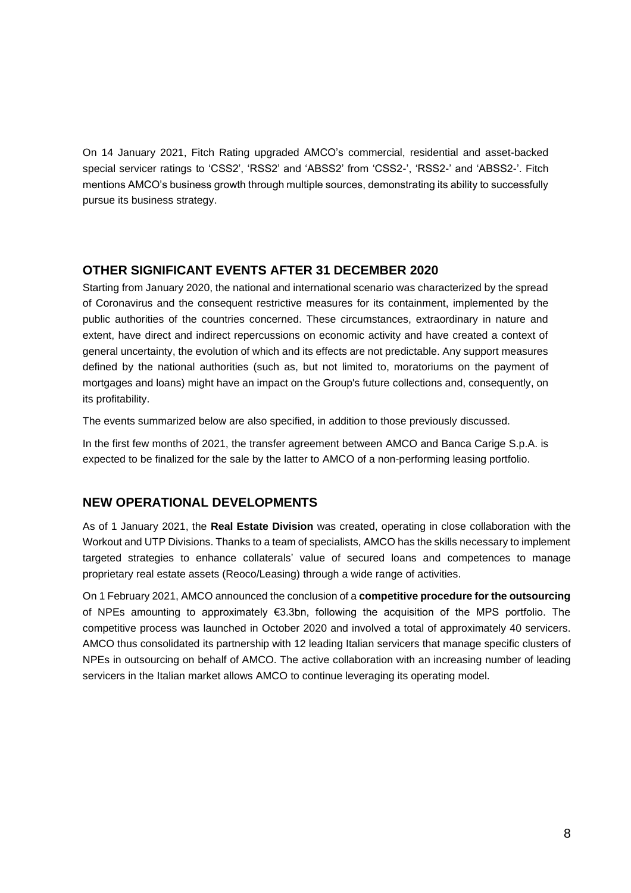On 14 January 2021, Fitch Rating upgraded AMCO's commercial, residential and asset-backed special servicer ratings to 'CSS2', 'RSS2' and 'ABSS2' from 'CSS2-', 'RSS2-' and 'ABSS2-'. Fitch mentions AMCO's business growth through multiple sources, demonstrating its ability to successfully pursue its business strategy.

### **OTHER SIGNIFICANT EVENTS AFTER 31 DECEMBER 2020**

Starting from January 2020, the national and international scenario was characterized by the spread of Coronavirus and the consequent restrictive measures for its containment, implemented by the public authorities of the countries concerned. These circumstances, extraordinary in nature and extent, have direct and indirect repercussions on economic activity and have created a context of general uncertainty, the evolution of which and its effects are not predictable. Any support measures defined by the national authorities (such as, but not limited to, moratoriums on the payment of mortgages and loans) might have an impact on the Group's future collections and, consequently, on its profitability.

The events summarized below are also specified, in addition to those previously discussed.

In the first few months of 2021, the transfer agreement between AMCO and Banca Carige S.p.A. is expected to be finalized for the sale by the latter to AMCO of a non-performing leasing portfolio.

### **NEW OPERATIONAL DEVELOPMENTS**

As of 1 January 2021, the **Real Estate Division** was created, operating in close collaboration with the Workout and UTP Divisions. Thanks to a team of specialists, AMCO has the skills necessary to implement targeted strategies to enhance collaterals' value of secured loans and competences to manage proprietary real estate assets (Reoco/Leasing) through a wide range of activities.

On 1 February 2021, AMCO announced the conclusion of a **competitive procedure for the outsourcing** of NPEs amounting to approximately €3.3bn, following the acquisition of the MPS portfolio. The competitive process was launched in October 2020 and involved a total of approximately 40 servicers. AMCO thus consolidated its partnership with 12 leading Italian servicers that manage specific clusters of NPEs in outsourcing on behalf of AMCO. The active collaboration with an increasing number of leading servicers in the Italian market allows AMCO to continue leveraging its operating model.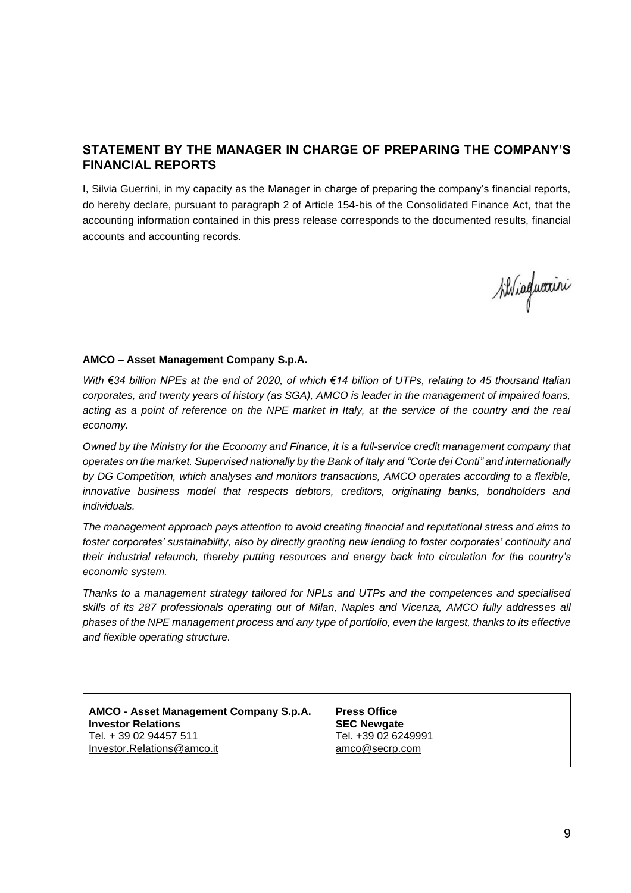## **STATEMENT BY THE MANAGER IN CHARGE OF PREPARING THE COMPANY'S FINANCIAL REPORTS**

I, Silvia Guerrini, in my capacity as the Manager in charge of preparing the company's financial reports, do hereby declare, pursuant to paragraph 2 of Article 154-bis of the Consolidated Finance Act, that the accounting information contained in this press release corresponds to the documented results, financial accounts and accounting records.

Ailviaguexini

#### **AMCO – Asset Management Company S.p.A.**

*With €34 billion NPEs at the end of 2020, of which €14 billion of UTPs, relating to 45 thousand Italian corporates, and twenty years of history (as SGA), AMCO is leader in the management of impaired loans,*  acting as a point of reference on the NPE market in Italy, at the service of the country and the real *economy.* 

*Owned by the Ministry for the Economy and Finance, it is a full-service credit management company that operates on the market. Supervised nationally by the Bank of Italy and "Corte dei Conti" and internationally by DG Competition, which analyses and monitors transactions, AMCO operates according to a flexible, innovative business model that respects debtors, creditors, originating banks, bondholders and individuals.*

*The management approach pays attention to avoid creating financial and reputational stress and aims to foster corporates' sustainability, also by directly granting new lending to foster corporates' continuity and their industrial relaunch, thereby putting resources and energy back into circulation for the country's economic system.* 

*Thanks to a management strategy tailored for NPLs and UTPs and the competences and specialised skills of its 287 professionals operating out of Milan, Naples and Vicenza, AMCO fully addresses all phases of the NPE management process and any type of portfolio, even the largest, thanks to its effective and flexible operating structure.*

| AMCO - Asset Management Company S.p.A. | <b>Press Office</b> |
|----------------------------------------|---------------------|
| <b>Investor Relations</b>              | <b>SEC Newgate</b>  |
| Tel. + 39 02 94457 511                 | Tel. +39 02 6249991 |
| Investor.Relations@amco.it             | amco@secrp.com      |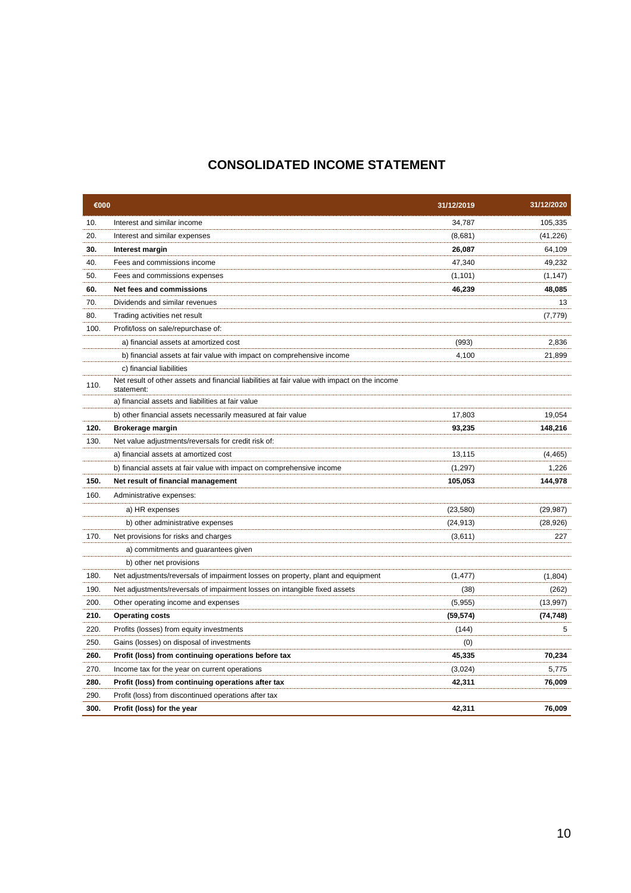# **CONSOLIDATED INCOME STATEMENT**

| €000 |                                                                                                            | 31/12/2019 | 31/12/2020 |
|------|------------------------------------------------------------------------------------------------------------|------------|------------|
| 10.  | Interest and similar income                                                                                | 34,787     | 105,335    |
| 20.  | Interest and similar expenses                                                                              | (8,681)    | (41, 226)  |
| 30.  | Interest margin                                                                                            | 26,087     | 64,109     |
| 40.  | Fees and commissions income                                                                                | 47,340     | 49,232     |
| 50.  | Fees and commissions expenses                                                                              | (1, 101)   | (1, 147)   |
| 60.  | Net fees and commissions                                                                                   | 46,239     | 48,085     |
| 70.  | Dividends and similar revenues                                                                             |            | 13         |
| 80.  | Trading activities net result                                                                              |            | (7, 779)   |
| 100. | Profit/loss on sale/repurchase of:                                                                         |            |            |
|      | a) financial assets at amortized cost                                                                      | (993)      | 2,836      |
|      | b) financial assets at fair value with impact on comprehensive income                                      | 4,100      | 21,899     |
|      | c) financial liabilities                                                                                   |            |            |
| 110. | Net result of other assets and financial liabilities at fair value with impact on the income<br>statement: |            |            |
|      | a) financial assets and liabilities at fair value                                                          |            |            |
|      | b) other financial assets necessarily measured at fair value                                               | 17,803     | 19,054     |
| 120. | Brokerage margin                                                                                           | 93,235     | 148,216    |
| 130. | Net value adjustments/reversals for credit risk of:                                                        |            |            |
|      | a) financial assets at amortized cost                                                                      | 13,115     | (4, 465)   |
|      | b) financial assets at fair value with impact on comprehensive income                                      | (1, 297)   | 1,226      |
| 150. | Net result of financial management                                                                         | 105,053    | 144,978    |
| 160. | Administrative expenses:                                                                                   |            |            |
|      | a) HR expenses                                                                                             | (23, 580)  | (29, 987)  |
|      | b) other administrative expenses                                                                           | (24, 913)  | (28, 926)  |
| 170. | Net provisions for risks and charges                                                                       | (3,611)    | 227        |
|      | a) commitments and guarantees given                                                                        |            |            |
|      | b) other net provisions                                                                                    |            |            |
| 180. | Net adjustments/reversals of impairment losses on property, plant and equipment                            | (1, 477)   | (1,804)    |
| 190. | Net adjustments/reversals of impairment losses on intangible fixed assets                                  | (38)       | (262)      |
| 200. | Other operating income and expenses                                                                        | (5,955)    | (13,997)   |
| 210. | <b>Operating costs</b>                                                                                     | (59, 574)  | (74, 748)  |
| 220. | Profits (losses) from equity investments                                                                   | (144)      | 5          |
| 250. | Gains (losses) on disposal of investments                                                                  | (0)        |            |
| 260. | Profit (loss) from continuing operations before tax                                                        | 45,335     | 70,234     |
| 270. | Income tax for the year on current operations                                                              | (3,024)    | 5,775      |
| 280. | Profit (loss) from continuing operations after tax                                                         | 42,311     | 76,009     |
| 290. | Profit (loss) from discontinued operations after tax                                                       |            |            |
| 300. | Profit (loss) for the year                                                                                 | 42,311     | 76,009     |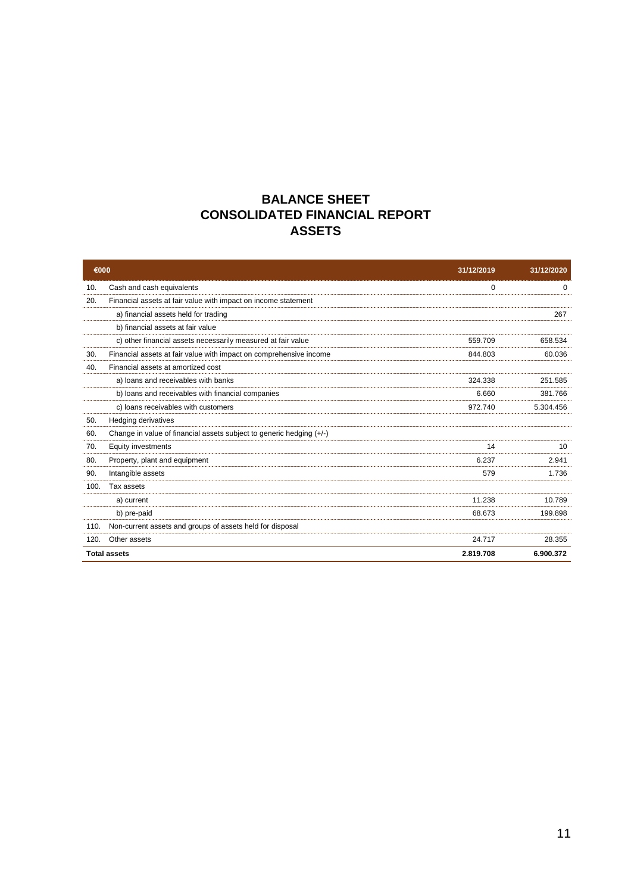# **BALANCE SHEET CONSOLIDATED FINANCIAL REPORT ASSETS**

| €000 |                                                                      | 31/12/2019 | 31/12/2020 |
|------|----------------------------------------------------------------------|------------|------------|
| 10.  | Cash and cash equivalents                                            | $\Omega$   | $\Omega$   |
| 20.  | Financial assets at fair value with impact on income statement       |            |            |
|      | a) financial assets held for trading                                 |            | 267        |
|      | b) financial assets at fair value                                    |            |            |
|      | c) other financial assets necessarily measured at fair value         | 559.709    | 658.534    |
| 30.  | Financial assets at fair value with impact on comprehensive income   | 844.803    | 60.036     |
| 40.  | Financial assets at amortized cost                                   |            |            |
|      | a) loans and receivables with banks                                  | 324.338    | 251.585    |
|      | b) loans and receivables with financial companies                    | 6.660      | 381.766    |
|      | c) loans receivables with customers                                  | 972.740    | 5.304.456  |
| 50.  | Hedging derivatives                                                  |            |            |
| 60.  | Change in value of financial assets subject to generic hedging (+/-) |            |            |
| 70.  | Equity investments                                                   | 14         | 10         |
| 80.  | Property, plant and equipment                                        | 6.237      | 2.941      |
| 90.  | Intangible assets                                                    | 579        | 1.736      |
| 100. | Tax assets                                                           |            |            |
|      | a) current                                                           | 11.238     | 10.789     |
|      | b) pre-paid                                                          | 68.673     | 199.898    |
| 110. | Non-current assets and groups of assets held for disposal            |            |            |
| 120. | Other assets                                                         | 24.717     | 28.355     |
|      | <b>Total assets</b>                                                  | 2.819.708  | 6.900.372  |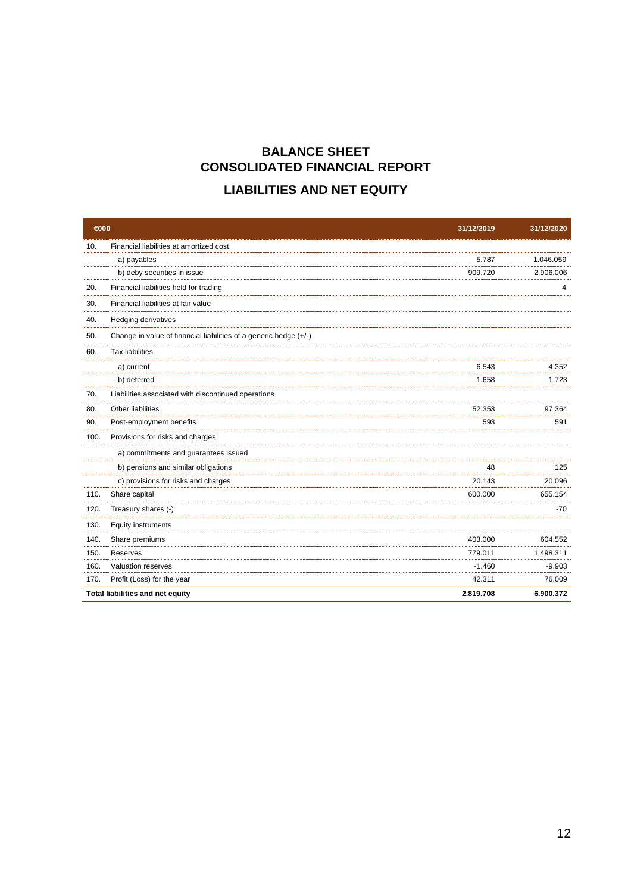# **BALANCE SHEET CONSOLIDATED FINANCIAL REPORT LIABILITIES AND NET EQUITY**

| €000 |                                                                   | 31/12/2019 | 31/12/2020 |
|------|-------------------------------------------------------------------|------------|------------|
| 10.  | Financial liabilities at amortized cost                           |            |            |
|      | a) payables                                                       | 5.787      | 1.046.059  |
|      | b) deby securities in issue                                       | 909.720    | 2.906.006  |
| 20.  | Financial liabilities held for trading                            |            | 4          |
| 30.  | Financial liabilities at fair value                               |            |            |
| 40.  | <b>Hedging derivatives</b>                                        |            |            |
| 50.  | Change in value of financial liabilities of a generic hedge (+/-) |            |            |
| 60.  | <b>Tax liabilities</b>                                            |            |            |
|      | a) current                                                        | 6.543      | 4.352      |
|      | b) deferred                                                       | 1.658      | 1.723      |
| 70.  | Liabilities associated with discontinued operations               |            |            |
| 80.  | Other liabilities                                                 | 52.353     | 97.364     |
| 90.  | Post-employment benefits                                          | 593        | 591        |
| 100. | Provisions for risks and charges                                  |            |            |
|      | a) commitments and guarantees issued                              |            |            |
|      | b) pensions and similar obligations                               | 48         | 125        |
|      | c) provisions for risks and charges                               | 20.143     | 20.096     |
| 110. | Share capital                                                     | 600.000    | 655.154    |
| 120. | Treasury shares (-)                                               |            | -70        |
| 130. | Equity instruments                                                |            |            |
| 140. | Share premiums                                                    | 403.000    | 604.552    |
| 150. | Reserves                                                          | 779.011    | 1.498.311  |
| 160. | Valuation reserves                                                | $-1.460$   | $-9.903$   |
| 170. | Profit (Loss) for the year                                        | 42.311     | 76.009     |
|      | Total liabilities and net equity                                  | 2.819.708  | 6.900.372  |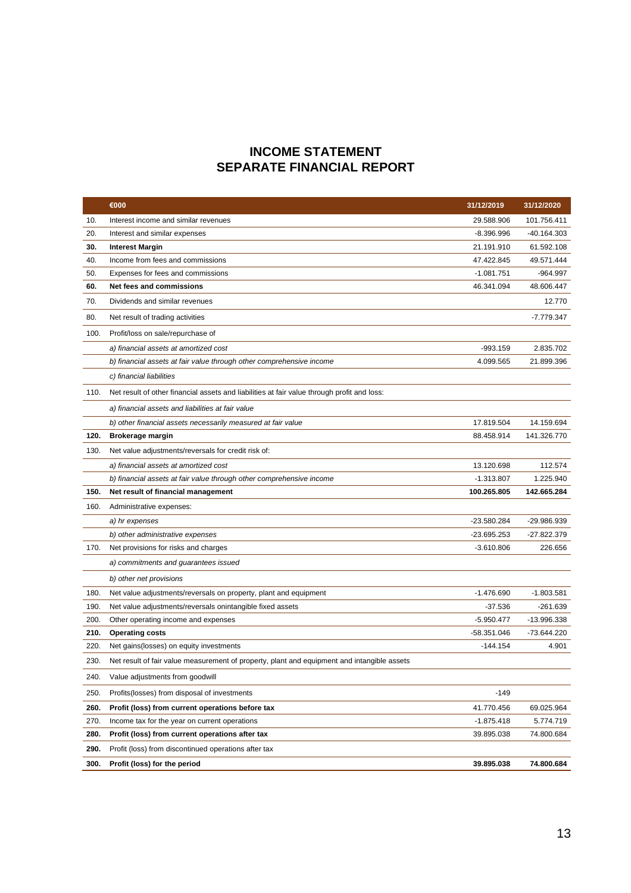# **INCOME STATEMENT SEPARATE FINANCIAL REPORT**

|      | €000                                                                                        | 31/12/2019   | 31/12/2020    |
|------|---------------------------------------------------------------------------------------------|--------------|---------------|
| 10.  | Interest income and similar revenues                                                        | 29.588.906   | 101.756.411   |
| 20.  | Interest and similar expenses                                                               | $-8.396.996$ | $-40.164.303$ |
| 30.  | Interest Margin                                                                             | 21.191.910   | 61.592.108    |
| 40.  | Income from fees and commissions                                                            | 47.422.845   | 49.571.444    |
| 50.  | Expenses for fees and commissions                                                           | $-1.081.751$ | $-964.997$    |
| 60.  | <b>Net fees and commissions</b>                                                             | 46.341.094   | 48.606.447    |
| 70.  | Dividends and similar revenues                                                              |              | 12.770        |
| 80.  | Net result of trading activities                                                            |              | $-7.779.347$  |
| 100. | Profit/loss on sale/repurchase of                                                           |              |               |
|      | a) financial assets at amortized cost                                                       | $-993.159$   | 2.835.702     |
|      | b) financial assets at fair value through other comprehensive income                        | 4.099.565    | 21.899.396    |
|      | c) financial liabilities                                                                    |              |               |
| 110. | Net result of other financial assets and liabilities at fair value through profit and loss: |              |               |
|      | a) financial assets and liabilities at fair value                                           |              |               |
|      | b) other financial assets necessarily measured at fair value                                | 17.819.504   | 14.159.694    |
| 120. | Brokerage margin                                                                            | 88.458.914   | 141.326.770   |
| 130. | Net value adjustments/reversals for credit risk of:                                         |              |               |
|      | a) financial assets at amortized cost                                                       | 13.120.698   | 112.574       |
|      | b) financial assets at fair value through other comprehensive income                        | $-1.313.807$ | 1.225.940     |
| 150. | Net result of financial management                                                          | 100.265.805  | 142.665.284   |
| 160. | Administrative expenses:                                                                    |              |               |
|      | a) hr expenses                                                                              | -23.580.284  | -29.986.939   |
|      | b) other administrative expenses                                                            | -23.695.253  | -27.822.379   |
| 170. | Net provisions for risks and charges                                                        | $-3.610.806$ | 226.656       |
|      | a) commitments and guarantees issued                                                        |              |               |
|      | b) other net provisions                                                                     |              |               |
| 180. | Net value adjustments/reversals on property, plant and equipment                            | $-1.476.690$ | $-1.803.581$  |
| 190. | Net value adjustments/reversals onintangible fixed assets                                   | $-37.536$    | $-261.639$    |
| 200. | Other operating income and expenses                                                         | $-5.950.477$ | -13.996.338   |
| 210. | <b>Operating costs</b>                                                                      | -58.351.046  | -73.644.220   |
| 220. | Net gains (losses) on equity investments                                                    | $-144.154$   | 4.901         |
| 230. | Net result of fair value measurement of property, plant and equipment and intangible assets |              |               |
| 240. | Value adjustments from goodwill                                                             |              |               |
| 250. | Profits (losses) from disposal of investments                                               | $-149$       |               |
| 260. | Profit (loss) from current operations before tax                                            | 41.770.456   | 69.025.964    |
| 270. | Income tax for the year on current operations                                               | $-1.875.418$ | 5.774.719     |
| 280. | Profit (loss) from current operations after tax                                             | 39.895.038   | 74.800.684    |
| 290. | Profit (loss) from discontinued operations after tax                                        |              |               |
| 300. | Profit (loss) for the period                                                                | 39.895.038   | 74.800.684    |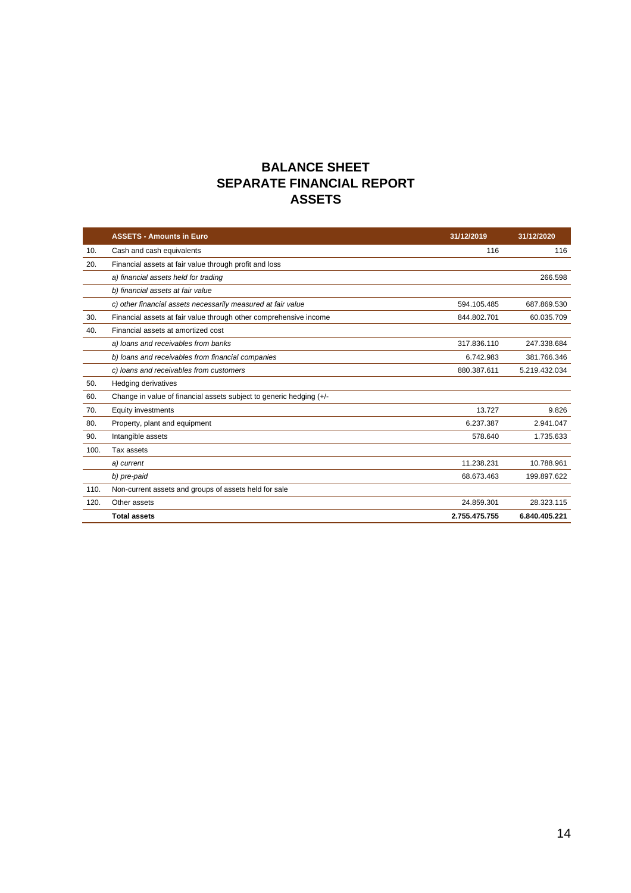# **BALANCE SHEET SEPARATE FINANCIAL REPORT ASSETS**

|      | <b>ASSETS - Amounts in Euro</b>                                     | 31/12/2019    | 31/12/2020    |
|------|---------------------------------------------------------------------|---------------|---------------|
| 10.  | Cash and cash equivalents                                           | 116           | 116           |
| 20.  | Financial assets at fair value through profit and loss              |               |               |
|      | a) financial assets held for trading                                |               | 266.598       |
|      | b) financial assets at fair value                                   |               |               |
|      | c) other financial assets necessarily measured at fair value        | 594.105.485   | 687.869.530   |
| 30.  | Financial assets at fair value through other comprehensive income   | 844.802.701   | 60.035.709    |
| 40.  | Financial assets at amortized cost                                  |               |               |
|      | a) loans and receivables from banks                                 | 317.836.110   | 247.338.684   |
|      | b) loans and receivables from financial companies                   | 6.742.983     | 381.766.346   |
|      | c) loans and receivables from customers                             | 880.387.611   | 5.219.432.034 |
| 50.  | <b>Hedging derivatives</b>                                          |               |               |
| 60.  | Change in value of financial assets subject to generic hedging (+/- |               |               |
| 70.  | <b>Equity investments</b>                                           | 13.727        | 9.826         |
| 80.  | Property, plant and equipment                                       | 6.237.387     | 2.941.047     |
| 90.  | Intangible assets                                                   | 578.640       | 1.735.633     |
| 100. | Tax assets                                                          |               |               |
|      | a) current                                                          | 11.238.231    | 10.788.961    |
|      | b) pre-paid                                                         | 68.673.463    | 199.897.622   |
| 110. | Non-current assets and groups of assets held for sale               |               |               |
| 120. | Other assets                                                        | 24.859.301    | 28.323.115    |
|      | <b>Total assets</b>                                                 | 2.755.475.755 | 6.840.405.221 |